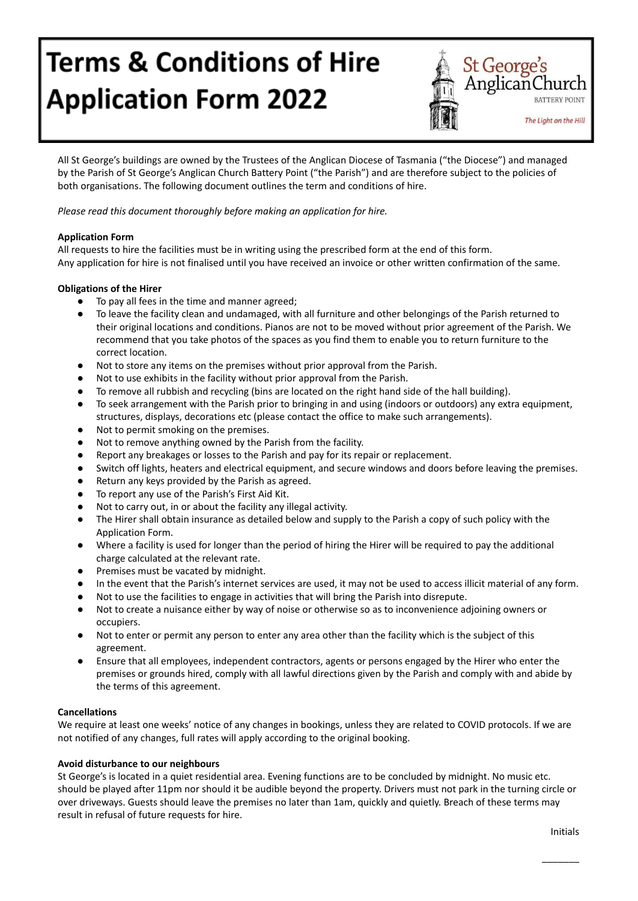# **Terms & Conditions of Hire Application Form 2022**



All St George's buildings are owned by the Trustees of the Anglican Diocese of Tasmania ("the Diocese") and managed by the Parish of St George's Anglican Church Battery Point ("the Parish") and are therefore subject to the policies of both organisations. The following document outlines the term and conditions of hire.

*Please read this document thoroughly before making an application for hire.*

# **Application Form**

All requests to hire the facilities must be in writing using the prescribed form at the end of this form. Any application for hire is not finalised until you have received an invoice or other written confirmation of the same.

# **Obligations of the Hirer**

- To pay all fees in the time and manner agreed;
- To leave the facility clean and undamaged, with all furniture and other belongings of the Parish returned to their original locations and conditions. Pianos are not to be moved without prior agreement of the Parish. We recommend that you take photos of the spaces as you find them to enable you to return furniture to the correct location.
- Not to store any items on the premises without prior approval from the Parish.
- Not to use exhibits in the facility without prior approval from the Parish.
- To remove all rubbish and recycling (bins are located on the right hand side of the hall building).
- To seek arrangement with the Parish prior to bringing in and using (indoors or outdoors) any extra equipment, structures, displays, decorations etc (please contact the office to make such arrangements).
- Not to permit smoking on the premises.
- Not to remove anything owned by the Parish from the facility.
- Report any breakages or losses to the Parish and pay for its repair or replacement.
- Switch off lights, heaters and electrical equipment, and secure windows and doors before leaving the premises.
- Return any keys provided by the Parish as agreed.
- To report any use of the Parish's First Aid Kit.
- Not to carry out, in or about the facility any illegal activity.
- The Hirer shall obtain insurance as detailed below and supply to the Parish a copy of such policy with the Application Form.
- Where a facility is used for longer than the period of hiring the Hirer will be required to pay the additional charge calculated at the relevant rate.
- Premises must be vacated by midnight.
- In the event that the Parish's internet services are used, it may not be used to access illicit material of any form.
- Not to use the facilities to engage in activities that will bring the Parish into disrepute.
- Not to create a nuisance either by way of noise or otherwise so as to inconvenience adjoining owners or occupiers.
- Not to enter or permit any person to enter any area other than the facility which is the subject of this agreement.
- Ensure that all employees, independent contractors, agents or persons engaged by the Hirer who enter the premises or grounds hired, comply with all lawful directions given by the Parish and comply with and abide by the terms of this agreement.

## **Cancellations**

We require at least one weeks' notice of any changes in bookings, unless they are related to COVID protocols. If we are not notified of any changes, full rates will apply according to the original booking.

## **Avoid disturbance to our neighbours**

St George's is located in a quiet residential area. Evening functions are to be concluded by midnight. No music etc. should be played after 11pm nor should it be audible beyond the property. Drivers must not park in the turning circle or over driveways. Guests should leave the premises no later than 1am, quickly and quietly. Breach of these terms may result in refusal of future requests for hire.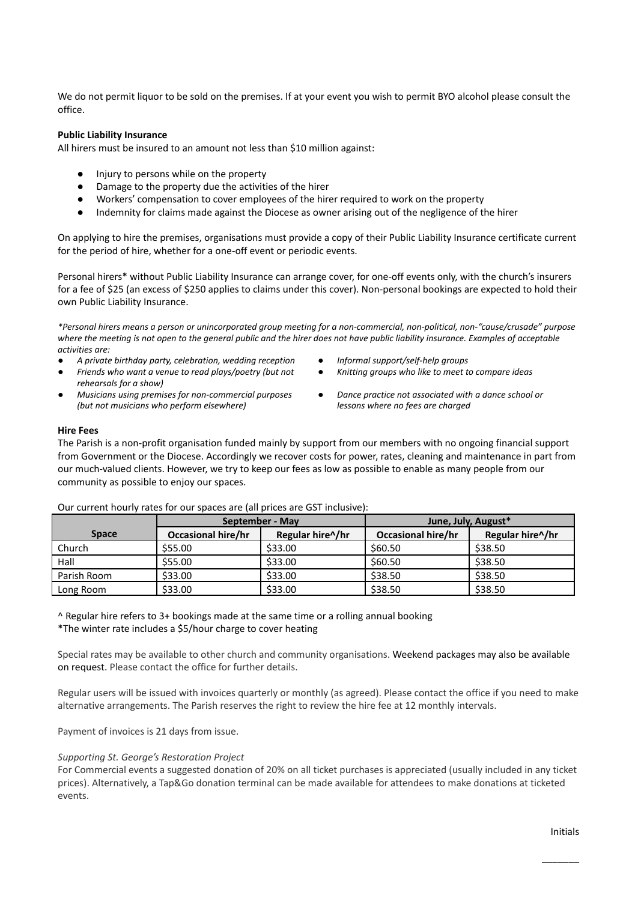We do not permit liquor to be sold on the premises. If at your event you wish to permit BYO alcohol please consult the office.

#### **Public Liability Insurance**

All hirers must be insured to an amount not less than \$10 million against:

- Injury to persons while on the property
- Damage to the property due the activities of the hirer
- Workers' compensation to cover employees of the hirer required to work on the property
- Indemnity for claims made against the Diocese as owner arising out of the negligence of the hirer

On applying to hire the premises, organisations must provide a copy of their Public Liability Insurance certificate current for the period of hire, whether for a one-off event or periodic events.

Personal hirers\* without Public Liability Insurance can arrange cover, for one-off events only, with the church's insurers for a fee of \$25 (an excess of \$250 applies to claims under this cover). Non-personal bookings are expected to hold their own Public Liability Insurance.

*\*Personal hirers means a person or unincorporated group meeting for a non-commercial, non-political, non-"cause/crusade" purpose where the meeting is not open to the general public and the hirer does not have public liability insurance. Examples of acceptable activities are:*

- *● A private birthday party, celebration, wedding reception ● Informal support/self-help groups*
- *● Friends who want a venue to read plays/poetry (but not rehearsals for a show)*
- *● Musicians using premises for non-commercial purposes (but not musicians who perform elsewhere)*
- 
- *● Knitting groups who like to meet to compare ideas*
- *● Dance practice not associated with a dance school or lessons where no fees are charged*

#### **Hire Fees**

The Parish is a non-profit organisation funded mainly by support from our members with no ongoing financial support from Government or the Diocese. Accordingly we recover costs for power, rates, cleaning and maintenance in part from our much-valued clients. However, we try to keep our fees as low as possible to enable as many people from our community as possible to enjoy our spaces.

|              | September - May           |                  | June, July, August*       |                  |
|--------------|---------------------------|------------------|---------------------------|------------------|
| <b>Space</b> | <b>Occasional hire/hr</b> | Regular hire^/hr | <b>Occasional hire/hr</b> | Regular hire^/hr |
| Church       | \$55.00                   | \$33.00          | \$60.50                   | \$38.50          |
| Hall         | \$55.00                   | \$33.00          | \$60.50                   | \$38.50          |
| Parish Room  | \$33.00                   | \$33.00          | \$38.50                   | \$38.50          |
| Long Room    | \$33.00                   | \$33.00          | \$38.50                   | \$38.50          |

#### Our current hourly rates for our spaces are (all prices are GST inclusive):

 $\triangle$  Regular hire refers to 3+ bookings made at the same time or a rolling annual booking \*The winter rate includes a \$5/hour charge to cover heating

Special rates may be available to other church and community organisations. Weekend packages may also be available on request. Please contact the office for further details.

Regular users will be issued with invoices quarterly or monthly (as agreed). Please contact the office if you need to make alternative arrangements. The Parish reserves the right to review the hire fee at 12 monthly intervals.

Payment of invoices is 21 days from issue.

#### *Supporting St. George's Restoration Project*

For Commercial events a suggested donation of 20% on all ticket purchases is appreciated (usually included in any ticket prices). Alternatively, a Tap&Go donation terminal can be made available for attendees to make donations at ticketed events.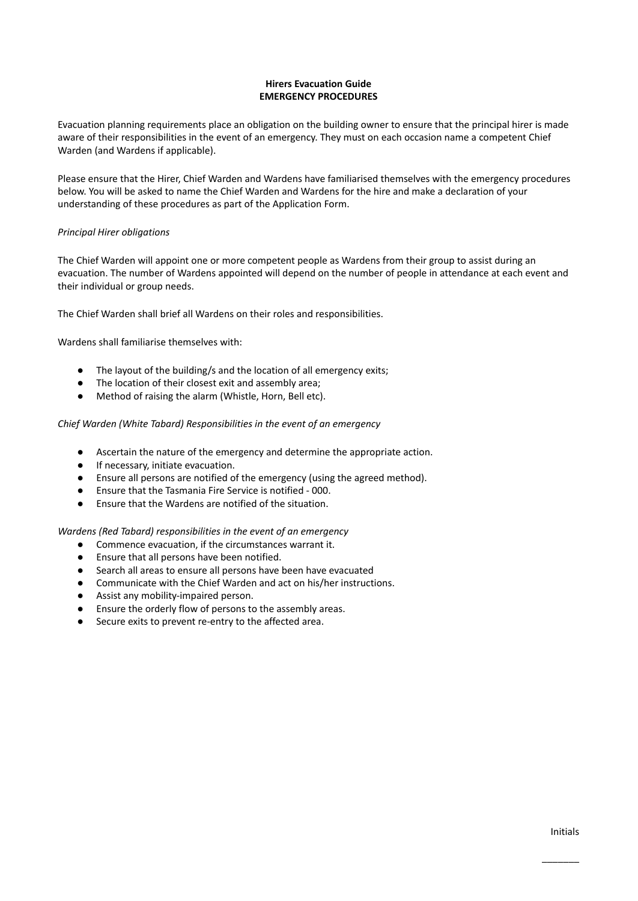## **Hirers Evacuation Guide EMERGENCY PROCEDURES**

Evacuation planning requirements place an obligation on the building owner to ensure that the principal hirer is made aware of their responsibilities in the event of an emergency. They must on each occasion name a competent Chief Warden (and Wardens if applicable).

Please ensure that the Hirer, Chief Warden and Wardens have familiarised themselves with the emergency procedures below. You will be asked to name the Chief Warden and Wardens for the hire and make a declaration of your understanding of these procedures as part of the Application Form.

## *Principal Hirer obligations*

The Chief Warden will appoint one or more competent people as Wardens from their group to assist during an evacuation. The number of Wardens appointed will depend on the number of people in attendance at each event and their individual or group needs.

The Chief Warden shall brief all Wardens on their roles and responsibilities.

Wardens shall familiarise themselves with:

- The layout of the building/s and the location of all emergency exits;
- The location of their closest exit and assembly area;
- Method of raising the alarm (Whistle, Horn, Bell etc).

## *Chief Warden (White Tabard) Responsibilities in the event of an emergency*

- Ascertain the nature of the emergency and determine the appropriate action.
- If necessary, initiate evacuation.
- Ensure all persons are notified of the emergency (using the agreed method).
- Ensure that the Tasmania Fire Service is notified 000.
- Ensure that the Wardens are notified of the situation.

## *Wardens (Red Tabard) responsibilities in the event of an emergency*

- Commence evacuation, if the circumstances warrant it.
- Ensure that all persons have been notified.
- Search all areas to ensure all persons have been have evacuated
- Communicate with the Chief Warden and act on his/her instructions.
- Assist any mobility-impaired person.
- Ensure the orderly flow of persons to the assembly areas.
- Secure exits to prevent re-entry to the affected area.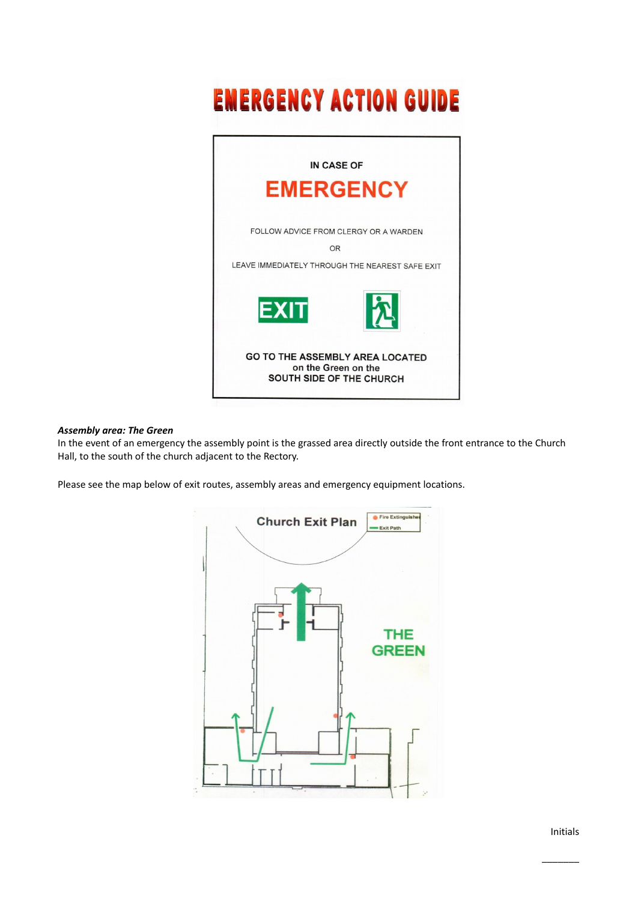# **EMERGENCY ACTION GUIDE**



#### *Assembly area: The Green*

In the event of an emergency the assembly point is the grassed area directly outside the front entrance to the Church Hall, to the south of the church adjacent to the Rectory.

Please see the map below of exit routes, assembly areas and emergency equipment locations.

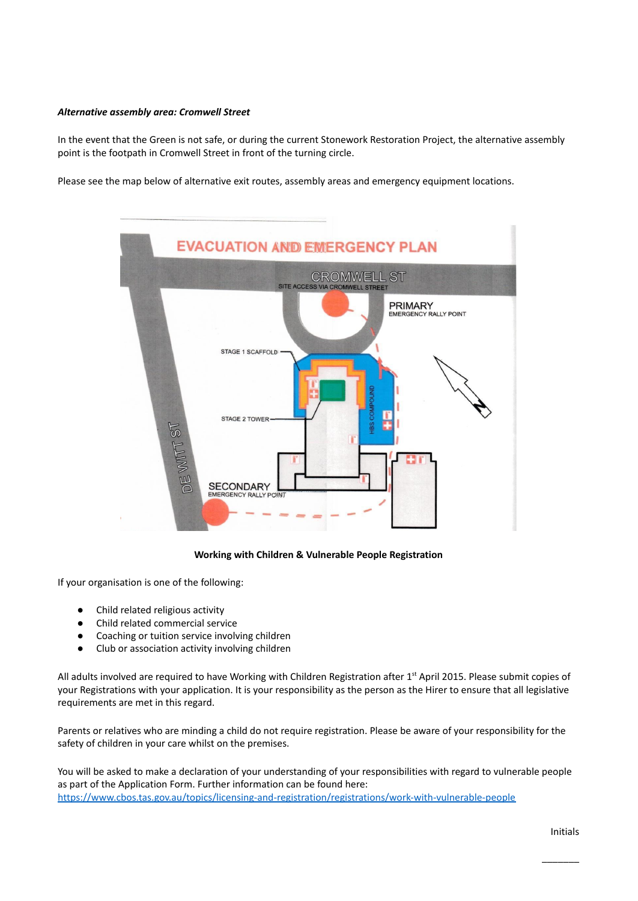#### *Alternative assembly area: Cromwell Street*

In the event that the Green is not safe, or during the current Stonework Restoration Project, the alternative assembly point is the footpath in Cromwell Street in front of the turning circle.

Please see the map below of alternative exit routes, assembly areas and emergency equipment locations.



## **Working with Children & Vulnerable People Registration**

If your organisation is one of the following:

- Child related religious activity
- Child related commercial service
- Coaching or tuition service involving children
- Club or association activity involving children

All adults involved are required to have Working with Children Registration after 1<sup>st</sup> April 2015. Please submit copies of your Registrations with your application. It is your responsibility as the person as the Hirer to ensure that all legislative requirements are met in this regard.

Parents or relatives who are minding a child do not require registration. Please be aware of your responsibility for the safety of children in your care whilst on the premises.

You will be asked to make a declaration of your understanding of your responsibilities with regard to vulnerable people as part of the Application Form. Further information can be found here: <https://www.cbos.tas.gov.au/topics/licensing-and-registration/registrations/work-with-vulnerable-people>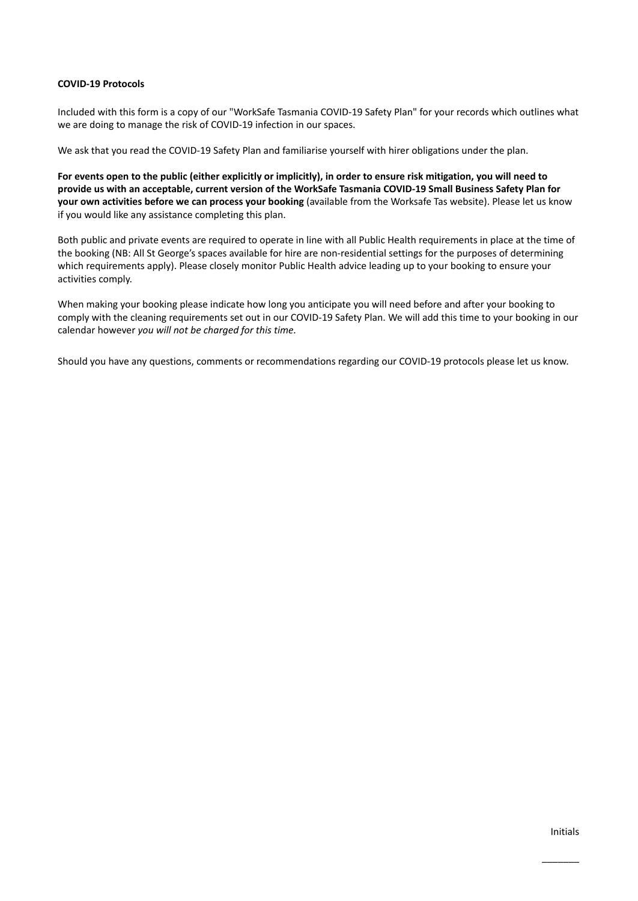#### **COVID-19 Protocols**

Included with this form is a copy of our "WorkSafe Tasmania COVID-19 Safety Plan" for your records which outlines what we are doing to manage the risk of COVID-19 infection in our spaces.

We ask that you read the COVID-19 Safety Plan and familiarise yourself with hirer obligations under the plan.

For events open to the public (either explicitly or implicitly), in order to ensure risk mitigation, you will need to provide us with an acceptable, current version of the WorkSafe Tasmania COVID-19 Small Business Safety Plan for **your own activities before we can process your booking** (available from the Worksafe Tas website). Please let us know if you would like any assistance completing this plan.

Both public and private events are required to operate in line with all Public Health requirements in place at the time of the booking (NB: All St George's spaces available for hire are non-residential settings for the purposes of determining which requirements apply). Please closely monitor Public Health advice leading up to your booking to ensure your activities comply.

When making your booking please indicate how long you anticipate you will need before and after your booking to comply with the cleaning requirements set out in our COVID-19 Safety Plan. We will add this time to your booking in our calendar however *you will not be charged for this time.*

Should you have any questions, comments or recommendations regarding our COVID-19 protocols please let us know.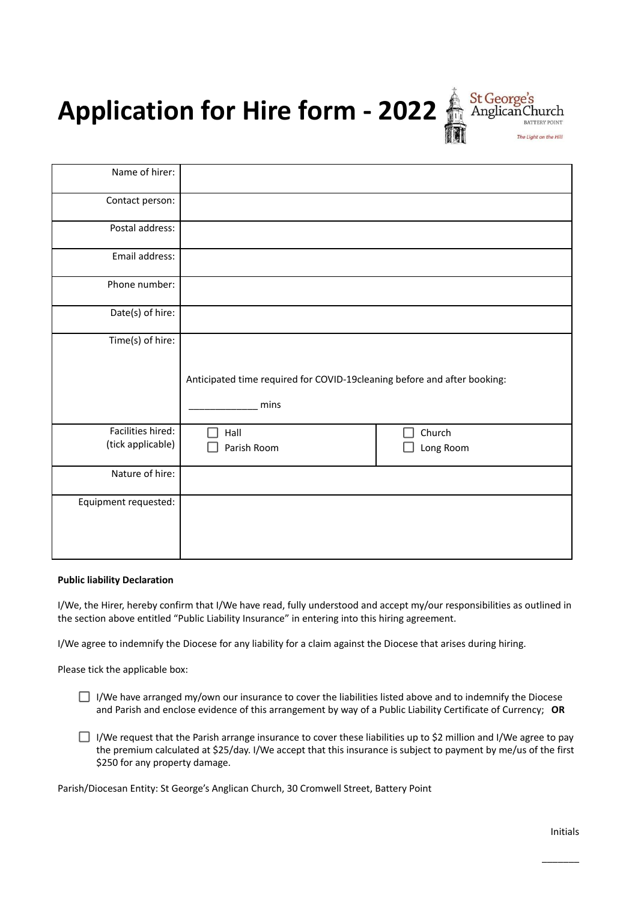**Application for Hire form - 2022** Anglican Church



| Name of hirer:                         |                                                                                  |                     |  |
|----------------------------------------|----------------------------------------------------------------------------------|---------------------|--|
| Contact person:                        |                                                                                  |                     |  |
| Postal address:                        |                                                                                  |                     |  |
| Email address:                         |                                                                                  |                     |  |
| Phone number:                          |                                                                                  |                     |  |
| Date(s) of hire:                       |                                                                                  |                     |  |
| Time(s) of hire:                       | Anticipated time required for COVID-19cleaning before and after booking:<br>mins |                     |  |
| Facilities hired:<br>(tick applicable) | Hall<br>Parish Room                                                              | Church<br>Long Room |  |
| Nature of hire:                        |                                                                                  |                     |  |
| Equipment requested:                   |                                                                                  |                     |  |

#### **Public liability Declaration**

I/We, the Hirer, hereby confirm that I/We have read, fully understood and accept my/our responsibilities as outlined in the section above entitled "Public Liability Insurance" in entering into this hiring agreement.

I/We agree to indemnify the Diocese for any liability for a claim against the Diocese that arises during hiring.

Please tick the applicable box:

- $\Box$  I/We have arranged my/own our insurance to cover the liabilities listed above and to indemnify the Diocese and Parish and enclose evidence of this arrangement by way of a Public Liability Certificate of Currency; **OR**
- I/We request that the Parish arrange insurance to cover these liabilities up to \$2 million and I/We agree to pay the premium calculated at \$25/day. I/We accept that this insurance is subject to payment by me/us of the first \$250 for any property damage.

Parish/Diocesan Entity: St George's Anglican Church, 30 Cromwell Street, Battery Point